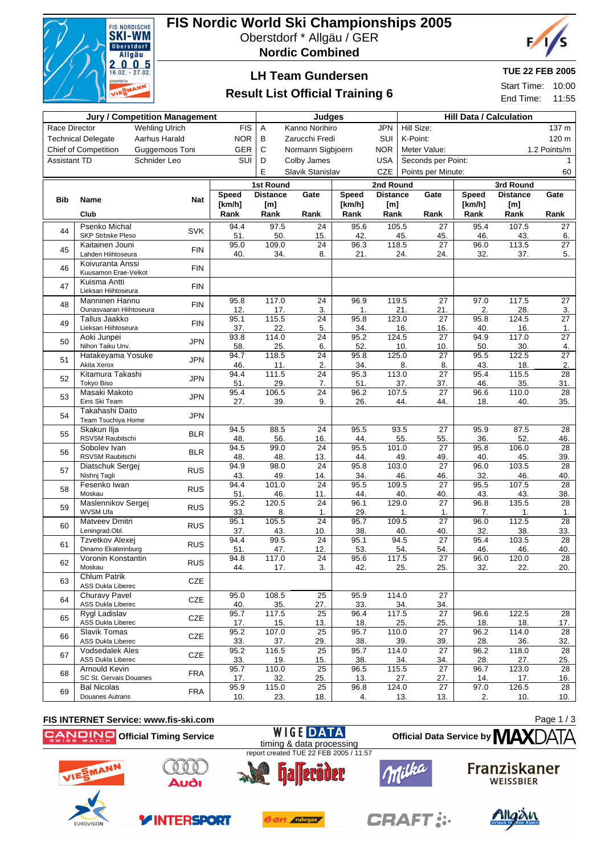

# **FIS Nordic World Ski Championships 2005**

Oberstdorf \* Allgäu / GER

**Nordic Combined**



## **LH Team Gundersen**

## **Result List Official Training 6**

## **TUE 22 FEB 2005**

Start Time: 10:00 End Time: 11:55

|                                                      |                                                  | <b>Jury / Competition Management</b> | Judges                            |                                |                        |              |                              | <b>Hill Data / Calculation</b> |                        |             |                 |                        |
|------------------------------------------------------|--------------------------------------------------|--------------------------------------|-----------------------------------|--------------------------------|------------------------|--------------|------------------------------|--------------------------------|------------------------|-------------|-----------------|------------------------|
| <b>Wehling Ulrich</b><br><b>FIS</b><br>Race Director |                                                  |                                      | Kanno Norihiro<br><b>JPN</b><br>Α |                                |                        |              | Hill Size:<br>137 m          |                                |                        |             |                 |                        |
| <b>Technical Delegate</b><br>Aarhus Harald           |                                                  | <b>NOR</b>                           | В                                 | Zarucchi Fredi                 |                        | SUI          | K-Point:                     |                                |                        |             | 120 m           |                        |
| Chief of Competition<br>Guggemoos Toni               |                                                  | GER                                  | C                                 | Normann Sigbjoern              |                        | <b>NOR</b>   | Meter Value:<br>1.2 Points/m |                                |                        |             |                 |                        |
| Schnider Leo<br><b>Assistant TD</b>                  |                                                  |                                      | SUI                               | D<br>Colby James<br><b>USA</b> |                        |              |                              |                                | Seconds per Point:     |             |                 | $\mathbf{1}$           |
|                                                      |                                                  |                                      |                                   | E                              | Slavik Stanislav       |              | <b>CZE</b>                   | Points per Minute:<br>60       |                        |             |                 |                        |
|                                                      |                                                  |                                      |                                   | <b>1st Round</b>               |                        |              |                              | 2nd Round<br>3rd Round         |                        |             |                 |                        |
|                                                      |                                                  |                                      | <b>Speed</b>                      | <b>Distance</b>                | Gate                   | <b>Speed</b> | <b>Distance</b>              |                                | Gate                   | Speed       | <b>Distance</b> | Gate                   |
| <b>Bib</b>                                           | Name                                             | <b>Nat</b>                           | [km/h]                            | [m]                            |                        | [km/h]       | [m]                          |                                |                        | [km/h]      | [m]             |                        |
|                                                      | Club                                             |                                      | Rank                              | Rank                           | Rank                   | Rank         | Rank                         |                                | Rank                   | Rank        | Rank            | Rank                   |
| 44                                                   | Psenko Michal                                    | <b>SVK</b>                           | 94.4                              | 97.5                           | 24                     | 95.6         | 105.5                        |                                | 27                     | 95.4        | 107.5           | 27                     |
|                                                      | SKP Strbske Pleso                                |                                      | 51.                               | 50.                            | 15.                    | 42.          |                              | 45.                            | 45.                    | 46.         | 43.             | 6.                     |
| 45                                                   | Kaitainen Jouni<br>Lahden Hiihtoseura            | <b>FIN</b>                           | 95.0<br>40.                       | 109.0<br>34.                   | $\overline{24}$<br>8.  | 96.3<br>21.  |                              | 118.5<br>24.                   | 27                     | 96.0<br>32. | 113.5<br>37.    | $\overline{27}$<br>5.  |
|                                                      | Koivuranta Anssi                                 |                                      |                                   |                                |                        |              |                              |                                | 24.                    |             |                 |                        |
| 46                                                   | Kuusamon Erae-Veikot                             | <b>FIN</b>                           |                                   |                                |                        |              |                              |                                |                        |             |                 |                        |
| 47                                                   | Kuisma Antti                                     | <b>FIN</b>                           |                                   |                                |                        |              |                              |                                |                        |             |                 |                        |
|                                                      | Lieksan Hiihtoseura                              |                                      |                                   |                                |                        |              |                              |                                |                        |             |                 |                        |
| 48                                                   | <b>Manninen Hannu</b><br>Ounasvaaran Hiihtoseura | <b>FIN</b>                           | 95.8<br>12.                       | 117.0<br>17.                   | 24<br>3.               | 96.9<br>1.   |                              | 119.5<br>21.                   | 27<br>21.              | 97.0<br>2.  | 117.5<br>28.    | 27<br>3.               |
|                                                      | Tallus Jaakko                                    |                                      | 95.1                              | 115.5                          | 24                     | 95.8         |                              | 123.0                          | 27                     | 95.8        | 124.5           | $\overline{27}$        |
| 49                                                   | Lieksan Hiihtoseura                              | <b>FIN</b>                           | 37.                               | 22.                            | 5.                     | 34.          |                              | 16.                            | 16.                    | 40.         | 16.             | $\mathbf{1}$ .         |
| 50                                                   | Aoki Junpei                                      | <b>JPN</b>                           | 93.8                              | 114.0                          | 24                     | 95.2         |                              | 124.5                          | 27                     | 94.9        | 117.0           | $\overline{27}$        |
|                                                      | Nihon Taiku Unv.                                 |                                      | 58.                               | 25.                            | 6.                     | 52.          |                              | 10.                            | 10.                    | 50.         | 30.             | 4.                     |
| 51                                                   | Hatakeyama Yosuke                                | <b>JPN</b>                           | 94.7                              | 118.5                          | 24<br>2.               | 95.8         |                              | 125.0                          | $\overline{27}$        | 95.5        | 122.5           | $\overline{27}$        |
|                                                      | Akita Xerox<br>Kitamura Takashi                  |                                      | 46.<br>94.4                       | 11.<br>111.5                   | $\overline{24}$        | 34.<br>95.3  |                              | 8.<br>113.0                    | 8.<br>$\overline{27}$  | 43.<br>95.4 | 18.<br>115.5    | 2.<br>$\overline{28}$  |
| 52                                                   | <b>Tokyo Biso</b>                                | <b>JPN</b>                           | 51.                               | 29.                            | 7.                     | 51.          |                              | 37.                            | 37.                    | 46.         | 35.             | 31.                    |
| 53                                                   | Masaki Makoto                                    | <b>JPN</b>                           | 95.4                              | 106.5                          | 24                     | 96.2         |                              | 107.5                          | 27                     | 96.6        | 110.0           | 28                     |
|                                                      | Eins Ski Team                                    |                                      | 27.                               | 39.                            | 9.                     | 26.          |                              | 44.                            | 44.                    | 18.         | 40.             | 35.                    |
| 54                                                   | Takahashi Daito<br>Team Tsuchiya Home            | <b>JPN</b>                           |                                   |                                |                        |              |                              |                                |                        |             |                 |                        |
|                                                      | Skakun Ilja                                      |                                      | 94.5                              | 88.5                           | $\overline{24}$        | 95.5         |                              | 93.5                           | $\overline{27}$        | 95.9        | 87.5            | $\overline{28}$        |
| 55                                                   | RSVSM Raubitschi                                 | <b>BLR</b>                           | 48.                               | 56.                            | 16.                    | 44.          |                              | 55.                            | 55.                    | 36.         | 52.             | 46.                    |
| 56                                                   | Sobolev Ivan                                     | <b>BLR</b>                           | 94.5                              | 99.0                           | $\overline{24}$        | 95.5         |                              | 101.0                          | $\overline{27}$        | 95.8        | 106.0           | 28                     |
|                                                      | RSVSM Raubitschi                                 |                                      | 48.<br>94.9                       | 48.<br>98.0                    | 13.<br>$\overline{24}$ | 44.<br>95.8  |                              | 49.<br>103.0                   | 49.<br>$\overline{27}$ | 40.<br>96.0 | 45.<br>103.5    | 39.<br>$\overline{28}$ |
| 57                                                   | Diatschuk Sergej<br>Nishnj Tagli                 | <b>RUS</b>                           | 43.                               | 49.                            | 14.                    | 34.          |                              | 46.                            | 46.                    | 32.         | 46.             | 40.                    |
|                                                      | Fesenko Iwan                                     |                                      | 94.4                              | 101.0                          | $\overline{24}$        | 95.5         | 109.5                        |                                | 27                     | 95.5        | 107.5           | 28                     |
| 58                                                   | Moskau                                           | <b>RUS</b>                           | 51.                               | 46.                            | 11.                    | 44.          |                              | 40.                            | 40.                    | 43.         | 43.             | 38.                    |
| 59                                                   | Maslennikov Sergej                               | <b>RUS</b>                           | 95.2                              | 120.5                          | $\overline{24}$        | 96.1         |                              | 129.0                          | $\overline{27}$        | 96.8        | 135.5           | $\overline{28}$        |
|                                                      | WVSM Ufa<br>Matveev Dmitri                       |                                      | 33.<br>95.1                       | 8.<br>105.5                    | 1.<br>24               | 29.<br>95.7  | 109.5                        | 1.                             | 1.<br>$\overline{27}$  | 7.<br>96.0  | 1.<br>112.5     | 1.<br>28               |
| 60                                                   | Leningrad.Obl.                                   | <b>RUS</b>                           | 37.                               | 43.                            | 10.                    | 38.          |                              | 40.                            | 40.                    | 32.         | 38.             | 33.                    |
|                                                      | Tzvetkov Alexej                                  | <b>RUS</b>                           | 94.4                              | 99.5                           | 24                     | 95.1         |                              | 94.5                           | $\overline{27}$        | 95.4        | 103.5           | 28                     |
| 61                                                   | Dinamo Ekaterinburg                              |                                      | 51.                               | 47.                            | 12.                    | 53.          |                              | 54.                            | 54.                    | 46.         | 46.             | 40.                    |
| 62                                                   | Voronin Konstantin                               | <b>RUS</b>                           | 94.8                              | 117.0                          | $\overline{24}$        | 95.6         |                              | 117.5                          | $\overline{27}$        | 96.0        | 120.0           | $\overline{28}$        |
|                                                      | Moskau<br><b>Chlum Patrik</b>                    |                                      | 44.                               | 17.                            | 3.                     | 42.          |                              | 25.                            | 25.                    | 32.         | 22.             | 20.                    |
| 63                                                   | ASS Dukla Liberec                                | <b>CZE</b>                           |                                   |                                |                        |              |                              |                                |                        |             |                 |                        |
| 64                                                   | <b>Churavy Pavel</b>                             | <b>CZE</b>                           | 95.0                              | 108.5                          | 25                     | 95.9         |                              | 114.0                          | 27                     |             |                 |                        |
|                                                      | <b>ASS Dukla Liberec</b>                         |                                      | 40.                               | 35.                            | 27.                    | 33.          |                              | 34.                            | 34.                    |             |                 |                        |
| 65                                                   | Rygl Ladislav                                    | CZE                                  | 95.7                              | 117.5                          | 25                     | 96.4         |                              | 117.5                          | 27                     | 96.6        | 122.5           | 28                     |
|                                                      | <b>ASS Dukla Liberec</b><br><b>Slavik Tomas</b>  |                                      | 17.<br>95.2                       | 15.<br>107.0                   | 13.<br>25              | 18.<br>95.7  |                              | 25.<br>110.0                   | 25.<br>27              | 18.<br>96.2 | 18.<br>114.0    | 17.<br>28              |
| 66                                                   | ASS Dukla Liberec                                | CZE                                  | 33.                               | 37.                            | 29.                    | 38.          |                              | 39.                            | 39.                    | 28.         | 36.             | 32.                    |
| 67                                                   | <b>Vodsedalek Ales</b>                           | CZE                                  | 95.2                              | 116.5                          | 25                     | 95.7         |                              | 114.0                          | 27                     | 96.2        | 118.0           | 28                     |
|                                                      | <b>ASS Dukla Liberec</b>                         |                                      | 33.                               | 19.                            | 15.                    | 38.          |                              | 34.                            | 34.                    | 28.         | 27.             | 25.                    |
| 68                                                   | Arnould Kevin                                    | <b>FRA</b>                           | 95.7                              | 110.0                          | 25                     | 96.5         |                              | 115.5                          | 27                     | 96.7        | 123.0           | 28                     |
|                                                      | SC St. Gervais Douanes<br><b>Bal Nicolas</b>     |                                      | 17.<br>95.9                       | 32.<br>115.0                   | 25.<br>25              | 13.<br>96.8  |                              | 27.<br>124.0                   | 27.<br>27              | 14.<br>97.0 | 17.<br>126.5    | 16.<br>28              |
| 69                                                   | Douanes Autrans                                  | <b>FRA</b>                           | 10.                               | 23.                            | 18.                    | 4.           |                              | 13.                            | 13.                    | 2.          | 10.             | 10.                    |

#### **FIS INTERNET Service: www.fis-ski.com WIGE DATA Official Timing Service**

Page 1 / 3



**EUROVISIOI** 



**YINTERSPORT** 



e.on ruhrgas



**CRAFT:** 





**Official Data Service by MAX**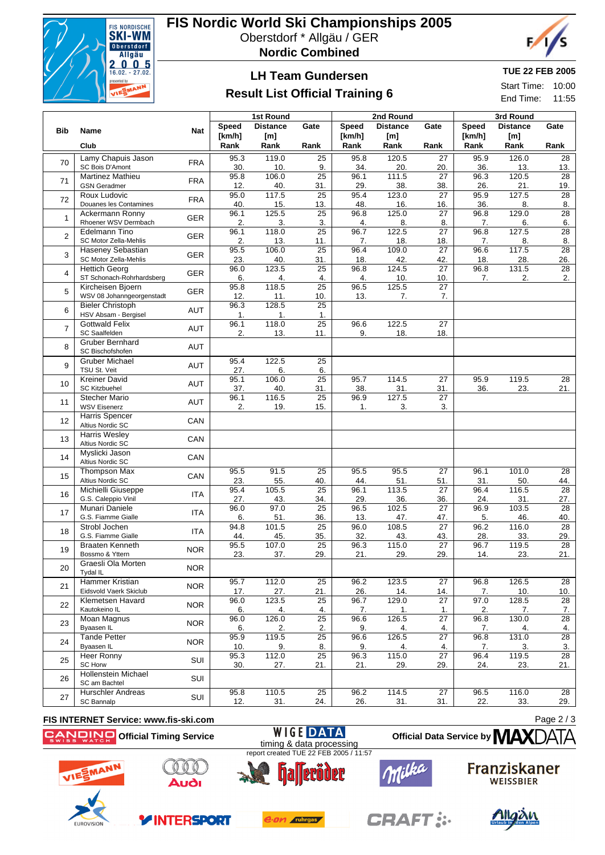

# **FIS Nordic World Ski Championships 2005**

Oberstdorf \* Allgäu / GER

**Nordic Combined**



## **LH Team Gundersen**

## **Result List Official Training 6**

## **TUE 22 FEB 2005**

Start Time: 10:00 End Time: 11:55

|                |                                                      |            |              | 1st Round       |                        |              | 2nd Round       |                        | 3rd Round    |                 |                        |
|----------------|------------------------------------------------------|------------|--------------|-----------------|------------------------|--------------|-----------------|------------------------|--------------|-----------------|------------------------|
| <b>Bib</b>     | Name                                                 | <b>Nat</b> | <b>Speed</b> | <b>Distance</b> | Gate                   | <b>Speed</b> | <b>Distance</b> | Gate                   | <b>Speed</b> | <b>Distance</b> | Gate                   |
|                |                                                      |            | [km/h]       | [m]             |                        | [km/h]       | [m]             |                        | [km/h]       | [m]             |                        |
|                | Club                                                 |            | Rank         | Rank            | Rank                   | Rank         | Rank            | Rank                   | Rank         | Rank            | Rank                   |
| 70             | Lamy Chapuis Jason<br>SC Bois D'Amont                | <b>FRA</b> | 95.3<br>30.  | 119.0<br>10.    | 25<br>9.               | 95.8<br>34.  | 120.5<br>20.    | 27<br>20.              | 95.9<br>36.  | 126.0<br>13.    | 28<br>13.              |
| 71             | Martinez Mathieu                                     | <b>FRA</b> | 95.8         | 106.0           | $\overline{25}$        | 96.1         | 111.5           | $\overline{27}$        | 96.3         | 120.5           | 28                     |
|                | <b>GSN Geradmer</b>                                  |            | 12.          | 40.             | 31.                    | 29.          | 38.             | 38.                    | 26.          | 21.             | 19.                    |
| 72             | Roux Ludovic<br>Douanes les Contamines               | <b>FRA</b> | 95.0<br>40.  | 117.5<br>15.    | $\overline{25}$<br>13. | 95.4<br>48.  | 123.0<br>16.    | $\overline{27}$<br>16. | 95.9<br>36.  | 127.5<br>8.     | 28<br>8.               |
| $\mathbf{1}$   | Ackermann Ronny                                      | <b>GER</b> | 96.1         | 125.5           | 25                     | 96.8         | 125.0           | $\overline{27}$        | 96.8         | 129.0           | 28                     |
|                | Rhoener WSV Dermbach<br>Edelmann Tino                |            | 2.<br>96.1   | 3.<br>118.0     | 3.<br>$\overline{25}$  | 4.<br>96.7   | 8.<br>122.5     | 8.<br>$\overline{27}$  | 7.<br>96.8   | 6.<br>127.5     | 6.<br>$\overline{28}$  |
| $\overline{2}$ | SC Motor Zella-Mehlis                                | <b>GER</b> | 2.           | 13.             | 11.                    | 7.           | 18.             | 18.                    | 7.           | 8.              | 8.                     |
| 3              | Haseney Sebastian                                    | <b>GER</b> | 95.5         | 106.0           | 25                     | 96.4         | 109.0           | $\overline{27}$        | 96.6         | 117.5           | 28                     |
|                | SC Motor Zella-Mehlis<br><b>Hettich Georg</b>        |            | 23.<br>96.0  | 40.<br>123.5    | 31.<br>$\overline{25}$ | 18.<br>96.8  | 42.<br>124.5    | 42.<br>$\overline{27}$ | 18.<br>96.8  | 28.<br>131.5    | 26.<br>28              |
| 4              | ST Schonach-Rohrhardsberg                            | <b>GER</b> | 6.           | 4.              | 4.                     | 4.           | 10.             | 10.                    | 7.           | 2.              | 2.                     |
| 5              | Kircheisen Bjoern                                    | <b>GER</b> | 95.8         | 118.5           | 25                     | 96.5         | 125.5           | 27                     |              |                 |                        |
|                | WSV 08 Johanngeorgenstadt<br><b>Bieler Christoph</b> |            | 12.<br>96.3  | 11.<br>128.5    | 10.<br>$\overline{25}$ | 13.          | 7.              | 7.                     |              |                 |                        |
| 6              | HSV Absam - Bergisel                                 | AUT        | 1.           | 1.              | $\mathbf 1$ .          |              |                 |                        |              |                 |                        |
| $\overline{7}$ | <b>Gottwald Felix</b><br><b>SC Saalfelden</b>        | <b>AUT</b> | 96.1<br>2.   | 118.0<br>13.    | $\overline{25}$<br>11. | 96.6<br>9.   | 122.5<br>18.    | 27<br>18.              |              |                 |                        |
|                | <b>Gruber Bernhard</b>                               |            |              |                 |                        |              |                 |                        |              |                 |                        |
| 8              | SC Bischofshofen                                     | <b>AUT</b> |              |                 |                        |              |                 |                        |              |                 |                        |
| 9              | <b>Gruber Michael</b><br>TSU St. Veit                | <b>AUT</b> | 95.4<br>27.  | 122.5<br>6.     | 25<br>6.               |              |                 |                        |              |                 |                        |
| 10             | <b>Kreiner David</b>                                 | <b>AUT</b> | 95.1         | 106.0           | $\overline{25}$        | 95.7         | 114.5           | $\overline{27}$        | 95.9         | 119.5           | $\overline{28}$        |
|                | <b>SC Kitzbuehel</b>                                 |            | 37.          | 40.             | 31.                    | 38.          | 31.             | 31.                    | 36.          | 23.             | 21.                    |
| 11             | <b>Stecher Mario</b><br><b>WSV Eisenerz</b>          | <b>AUT</b> | 96.1<br>2.   | 116.5<br>19.    | 25<br>15.              | 96.9<br>1.   | 127.5<br>3.     | $\overline{27}$<br>3.  |              |                 |                        |
| 12             | Harris Spencer                                       | CAN        |              |                 |                        |              |                 |                        |              |                 |                        |
|                | Altius Nordic SC<br>Harris Wesley                    |            |              |                 |                        |              |                 |                        |              |                 |                        |
| 13             | Altius Nordic SC                                     | CAN        |              |                 |                        |              |                 |                        |              |                 |                        |
| 14             | Myslicki Jason                                       | CAN        |              |                 |                        |              |                 |                        |              |                 |                        |
|                | Altius Nordic SC<br><b>Thompson Max</b>              |            | 95.5         | 91.5            | $\overline{25}$        | 95.5         | 95.5            | $\overline{27}$        | 96.1         | 101.0           | $\overline{28}$        |
| 15             | Altius Nordic SC                                     | CAN        | 23.          | 55.             | 40.                    | 44.          | 51.             | 51.                    | 31.          | 50.             | 44.                    |
| 16             | Michielli Giuseppe                                   | <b>ITA</b> | 95.4         | 105.5           | $\overline{25}$        | 96.1         | 113.5           | $\overline{27}$        | 96.4         | 116.5           | $\overline{28}$        |
|                | G.S. Caleppio Vinil<br>Munari Daniele                |            | 27.<br>96.0  | 43.<br>97.0     | 34.<br>25              | 29.<br>96.5  | 36.<br>102.5    | 36.<br>27              | 24.<br>96.9  | 31.<br>103.5    | 27.<br>28              |
| 17             | G.S. Fiamme Gialle                                   | <b>ITA</b> | 6.           | 51.             | 36.                    | 13.          | 47.             | 47.                    | 5.           | 46.             | 40.                    |
| 18             | Strobl Jochen                                        | <b>ITA</b> | 94.8         | 101.5           | $\overline{25}$        | 96.0         | 108.5           | $\overline{27}$        | 96.2         | 116.0           | 28                     |
|                | G.S. Fiamme Gialle<br><b>Braaten Kenneth</b>         |            | 44.<br>95.5  | 45.<br>107.0    | 35.<br>$\overline{25}$ | 32.<br>96.3  | 43.<br>115.0    | 43.<br>$\overline{27}$ | 28.<br>96.7  | 33.<br>119.5    | 29.<br>$\overline{28}$ |
| 19             | Bossmo & Yttern                                      | <b>NOR</b> | 23.          | 37.             | 29.                    | 21.          | 29.             | 29.                    | 14.          | 23.             | 21.                    |
| 20             | Graesli Ola Morten<br>Tydal IL                       | <b>NOR</b> |              |                 |                        |              |                 |                        |              |                 |                        |
|                | <b>Hammer Kristian</b>                               |            | 95.7         | 112.0           | $\overline{25}$        | 96.2         | 123.5           | $\overline{27}$        | 96.8         | 126.5           | $\overline{28}$        |
| 21             | Eidsvold Vaerk Skiclub                               | <b>NOR</b> | 17.          | 27.             | 21.                    | 26.          | 14.             | 14.                    | 7.           | 10.             | 10.                    |
| 22             | Klemetsen Havard<br>Kautokeino IL                    | <b>NOR</b> | 96.0<br>6.   | 123.5<br>4.     | 25<br>4.               | 96.7<br>7.   | 129.0<br>1.     | 27<br>1.               | 97.0<br>2.   | 128.5<br>7.     | 28<br>7.               |
|                | <b>Moan Magnus</b>                                   |            | 96.0         | 126.0           | $\overline{25}$        | 96.6         | 126.5           | $\overline{27}$        | 96.8         | 130.0           | $\overline{28}$        |
| 23             | Byaasen IL                                           | <b>NOR</b> | 6.           | 2.              | 2.                     | 9.           | 4.              | 4.                     | 7.           | 4.              | 4.                     |
| 24             | <b>Tande Petter</b><br>Byaasen IL                    | <b>NOR</b> | 95.9<br>10.  | 119.5<br>9.     | $\overline{25}$<br>8.  | 96.6<br>9.   | 126.5<br>4.     | 27<br>4.               | 96.8<br>7.   | 131.0<br>3.     | $\overline{28}$<br>3.  |
| 25             | Heer Ronny                                           | SUI        | 95.3         | 112.0           | $\overline{25}$        | 96.3         | 115.0           | 27                     | 96.4         | 119.5           | $\overline{28}$        |
|                | SC Horw                                              |            | 30.          | 27.             | 21.                    | 21.          | 29.             | 29.                    | 24.          | 23.             | 21.                    |
| 26             | <b>Hollenstein Michael</b><br>SC am Bachtel          | SUI        |              |                 |                        |              |                 |                        |              |                 |                        |
| 27             | <b>Hurschler Andreas</b>                             | SUI        | 95.8         | 110.5           | 25                     | 96.2         | 114.5           | $\overline{27}$        | 96.5         | 116.0           | 28                     |
|                | SC Bannalp                                           |            | 12.          | 31.             | 24.                    | 26.          | 31.             | 31.                    | 22.          | 33.             | 29.                    |



Page 2 / 3



**EUROVISIOI** 



**YINTERSPORT** 



e.on ruhrgas

**WIGE DATA** 



**CRAFT:** 



**Official Data Service by MAX**